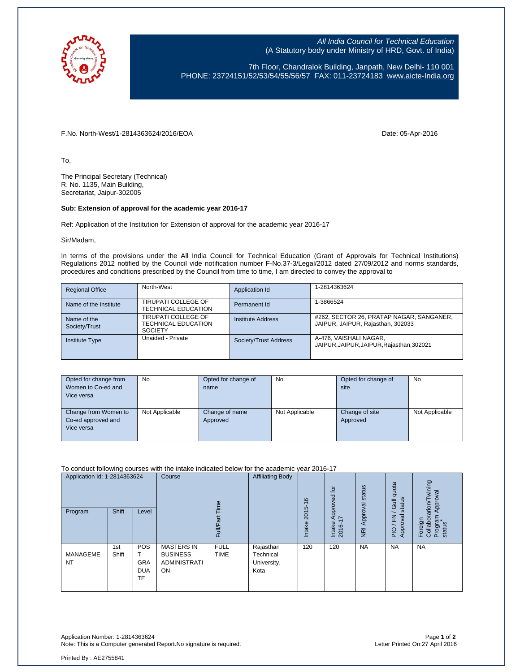

All India Council for Technical Education (A Statutory body under Ministry of HRD, Govt. of India)

7th Floor, Chandralok Building, Janpath, New Delhi- 110 001 PHONE: 23724151/52/53/54/55/56/57 FAX: 011-23724183 [www.aicte-India.org](http://www.aicte-india.org/)

F.No. North-West/1-2814363624/2016/EOA Date: 05-Apr-2016

To,

The Principal Secretary (Technical) R. No. 1135, Main Building, Secretariat, Jaipur-302005

## **Sub: Extension of approval for the academic year 2016-17**

Ref: Application of the Institution for Extension of approval for the academic year 2016-17

Sir/Madam,

In terms of the provisions under the All India Council for Technical Education (Grant of Approvals for Technical Institutions) Regulations 2012 notified by the Council vide notification number F-No.37-3/Legal/2012 dated 27/09/2012 and norms standards, procedures and conditions prescribed by the Council from time to time, I am directed to convey the approval to

| <b>Regional Office</b>       | North-West                                                          | Application Id        | 1-2814363624                                                                  |
|------------------------------|---------------------------------------------------------------------|-----------------------|-------------------------------------------------------------------------------|
| Name of the Institute        | TIRUPATI COLLEGE OF<br><b>TECHNICAL EDUCATION</b>                   | Permanent Id          | 1-3866524                                                                     |
| Name of the<br>Society/Trust | TIRUPATI COLLEGE OF<br><b>TECHNICAL EDUCATION</b><br><b>SOCIETY</b> | Institute Address     | #262, SECTOR 26, PRATAP NAGAR, SANGANER,<br>JAIPUR, JAIPUR, Rajasthan, 302033 |
| <b>Institute Type</b>        | Unaided - Private                                                   | Society/Trust Address | A-476, VAISHALI NAGAR,<br>JAIPUR, JAIPUR, JAIPUR, Rajasthan, 302021           |

| Opted for change from<br>Women to Co-ed and<br>Vice versa | No             | Opted for change of<br>name | <b>No</b>      | Opted for change of<br>site | <b>No</b>      |
|-----------------------------------------------------------|----------------|-----------------------------|----------------|-----------------------------|----------------|
| Change from Women to<br>Co-ed approved and<br>Vice versa  | Not Applicable | Change of name<br>Approved  | Not Applicable | Change of site<br>Approved  | Not Applicable |

To conduct following courses with the intake indicated below for the academic year 2016-17

| Application Id: 1-2814363624<br>Program | Shift        | Level                                 | Course                                                                   | ime<br>ౚ<br>FullP          | <b>Affiliating Body</b>                       | $\frac{6}{5}$<br>2015<br>Intake | Approved for<br>$\overline{\phantom{0}}$<br>Intake<br>2016- | NRI Approval status | quota<br>status<br><b>Jin</b><br>준<br>Approval<br>P | wining<br>Approval<br>Foreign<br>Collaborarion/T<br>Program<br>status |
|-----------------------------------------|--------------|---------------------------------------|--------------------------------------------------------------------------|----------------------------|-----------------------------------------------|---------------------------------|-------------------------------------------------------------|---------------------|-----------------------------------------------------|-----------------------------------------------------------------------|
| MANAGEME<br><b>NT</b>                   | 1st<br>Shift | POS<br><b>GRA</b><br><b>DUA</b><br>TE | <b>MASTERS IN</b><br><b>BUSINESS</b><br><b>ADMINISTRATI</b><br><b>ON</b> | <b>FULL</b><br><b>TIME</b> | Rajasthan<br>Technical<br>University,<br>Kota | 120                             | 120                                                         | <b>NA</b>           | <b>NA</b>                                           | <b>NA</b>                                                             |

Application Number: 1-2814363624 Page **1** of **2** Note: This is a Computer generated Report.No signature is required.